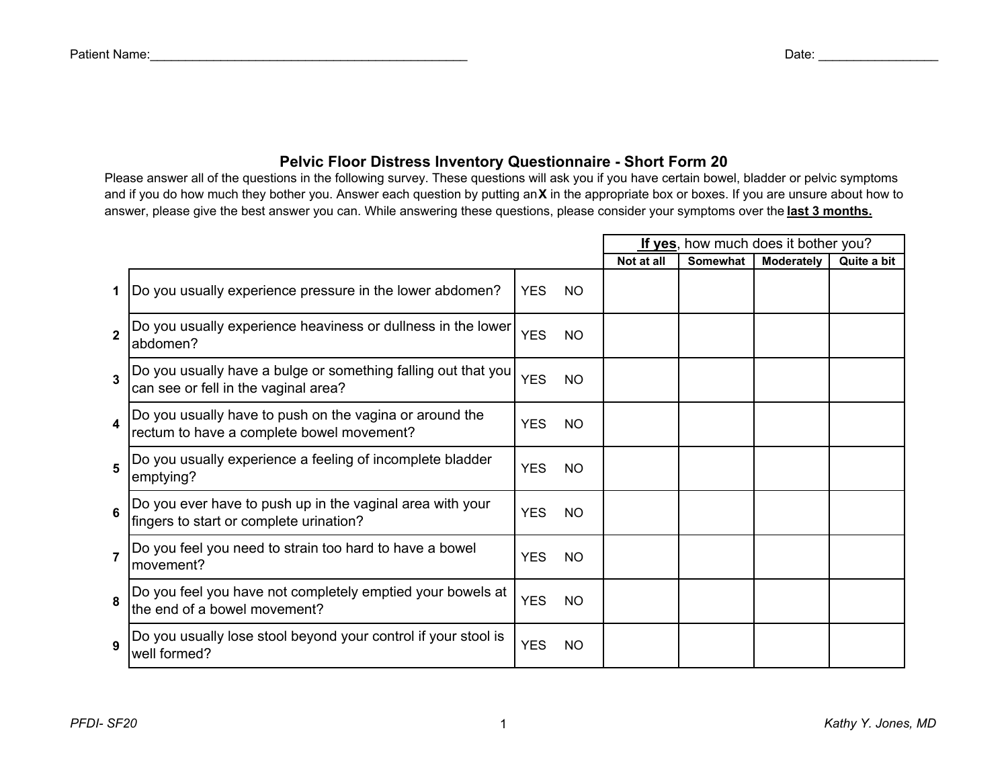## **Pelvic Floor Distress Inventory Questionnaire - Short Form 20**

Please answer all of the questions in the following survey. These questions will ask you if you have certain bowel, bladder or pelvic symptoms and if you do how much they bother you. Answer each question by putting an **X** in the appropriate box or boxes. If you are unsure about how to answer, please give the best answer you can. While answering these questions, please consider your symptoms over the **last 3 months.**

|                |                                                                                                       |                   | If yes, how much does it bother you? |                 |                   |             |
|----------------|-------------------------------------------------------------------------------------------------------|-------------------|--------------------------------------|-----------------|-------------------|-------------|
|                |                                                                                                       |                   | Not at all                           | <b>Somewhat</b> | <b>Moderately</b> | Quite a bit |
| 1              | Do you usually experience pressure in the lower abdomen?                                              | YES□NO□           |                                      |                 |                   |             |
| $\overline{2}$ | Do you usually experience heaviness or dullness in the lower<br>abdomen?                              | YES□NO□           |                                      |                 |                   |             |
| $\overline{3}$ | Do you usually have a bulge or something falling out that you<br>can see or fell in the vaginal area? | <b>YES</b> NO     |                                      |                 |                   |             |
|                | Do you usually have to push on the vagina or around the<br>rectum to have a complete bowel movement?  | YES□NO            |                                      |                 |                   |             |
| 5              | Do you usually experience a feeling of incomplete bladder<br>emptying?                                | YES□NO            |                                      |                 |                   |             |
| 6              | Do you ever have to push up in the vaginal area with your<br>fingers to start or complete urination?  | YES□NO            |                                      |                 |                   |             |
| $\overline{7}$ | Do you feel you need to strain too hard to have a bowel<br>movement?                                  | $YES$ $NO$ $\Box$ |                                      |                 |                   |             |
| 8              | Do you feel you have not completely emptied your bowels at<br>the end of a bowel movement?            | $YES$ $NO$ $\Box$ |                                      |                 |                   |             |
| 9              | Do you usually lose stool beyond your control if your stool is<br>well formed?                        | YES <sup>NO</sup> |                                      |                 |                   |             |